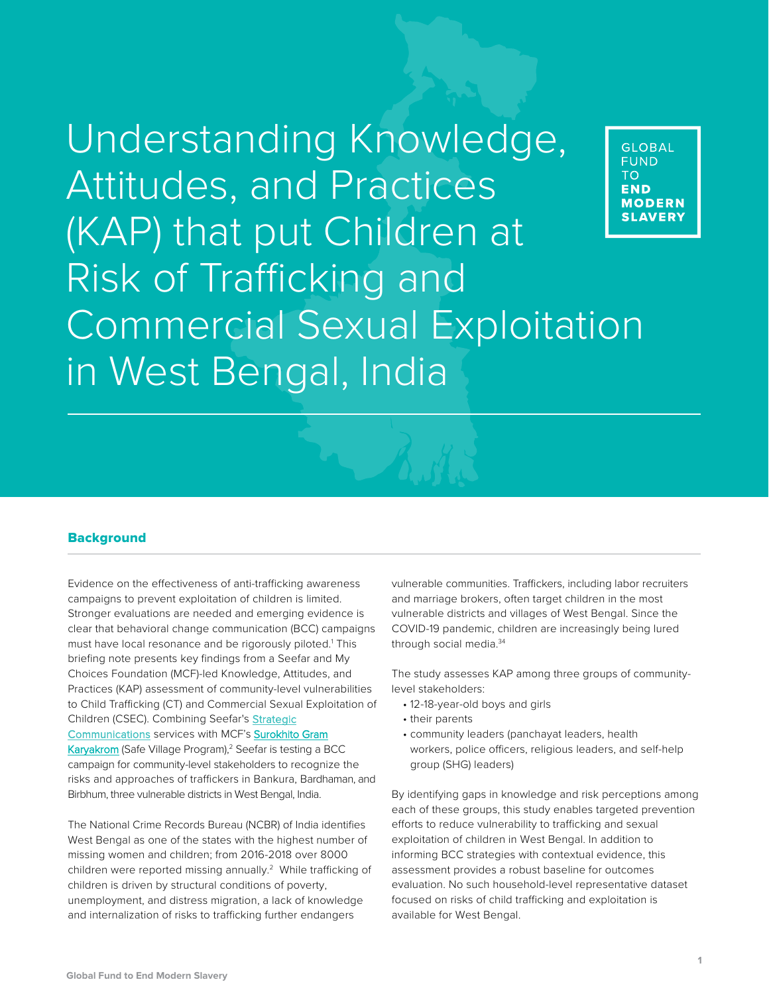# Understanding Knowledge, Attitudes, and Practices (KAP) that put Children at Risk of Trafficking and Commercial Sexual Exploitation in West Bengal, India



#### **Background**

Evidence on the effectiveness of anti-trafficking awareness campaigns to prevent exploitation of children is limited. Stronger evaluations are needed and emerging evidence is clear that behavioral change communication (BCC) campaigns must have local resonance and be rigorously piloted.<sup>1</sup> This briefing note presents key findings from a Seefar and My Choices Foundation (MCF)-led Knowledge, Attitudes, and Practices (KAP) assessment of community-level vulnerabilities to Child Trafficking (CT) and Commercial Sexual Exploitation of Children (CSEC). Combining Seefar's Strategic [Communications services with](https://mychoicesfoundation.org/2021/04/21/my-choices-foundation-launches-new-campaign-to-address-child-sex-trafficking-in-west-bengal/) MCF's Surokhito Gram Karyakrom (Safe Village Program),<sup>2</sup> Seefar is testing a BCC campaign for community-level stakeholders to recognize the risks and approaches of traffickers in Bankura, Bardhaman, and Birbhum, three vulnerable districts in West Bengal, India.

The National Crime Records Bureau (NCBR) of India identifies West Bengal as one of the states with the highest number of missing women and children; from 2016-2018 over 8000 children were reported missing annually.<sup>2</sup> While trafficking of children is driven by structural conditions of poverty, unemployment, and distress migration, a lack of knowledge and internalization of risks to trafficking further endangers

vulnerable communities. Traffickers, including labor recruiters and marriage brokers, often target children in the most vulnerable districts and villages of West Bengal. Since the COVID-19 pandemic, children are increasingly being lured through social media.<sup>34</sup>

The study assesses KAP among three groups of communitylevel stakeholders:

- 12-18-year-old boys and girls
- their parents
- community leaders (panchayat leaders, health workers, police officers, religious leaders, and self-help group (SHG) leaders)

By identifying gaps in knowledge and risk perceptions among each of these groups, this study enables targeted prevention efforts to reduce vulnerability to trafficking and sexual exploitation of children in West Bengal. In addition to informing BCC strategies with contextual evidence, this assessment provides a robust baseline for outcomes evaluation. No such household-level representative dataset focused on risks of child trafficking and exploitation is available for West Bengal.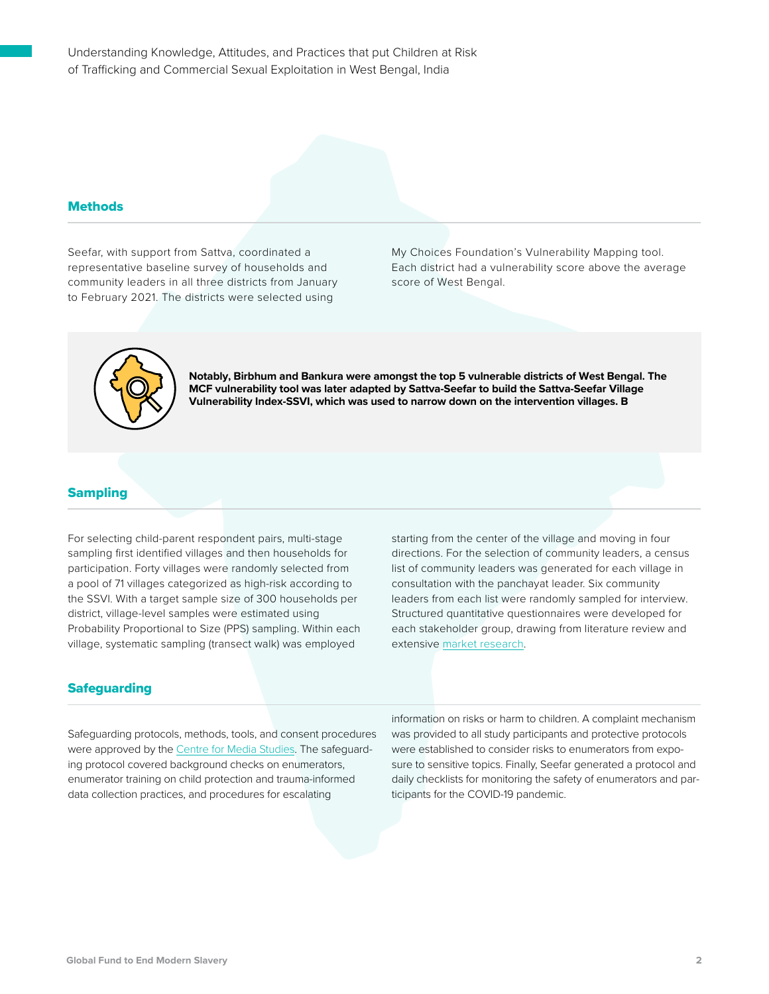Understanding Knowledge, Attitudes, and Practices that put Children at Risk of Trafficking and Commercial Sexual Exploitation in West Bengal, India

#### **Methods**

Seefar, with support from Sattva, coordinated a representative baseline survey of households and community leaders in all three districts from January to February 2021. The districts were selected using

My Choices Foundation's Vulnerability Mapping tool. Each district had a vulnerability score above the average score of West Bengal.



**Notably, Birbhum and Bankura were amongst the top 5 vulnerable districts of West Bengal. The MCF vulnerability tool was later adapted by Sattva-Seefar to build the Sattva-Seefar Village Vulnerability Index-SSVI, which was used to narrow down on the intervention villages. B**

#### **Sampling**

For selecting child-parent respondent pairs, multi-stage sampling first identified villages and then households for participation. Forty villages were randomly selected from a pool of 71 villages categorized as high-risk according to the SSVI. With a target sample size of 300 households per district, village-level samples were estimated using Probability Proportional to Size (PPS) sampling. Within each village, systematic sampling (transect walk) was employed

starting from the center of the village and moving in four directions. For the selection of community leaders, a census list of community leaders was generated for each village in consultation with the panchayat leader. Six community leaders from each list were randomly sampled for interview. Structured quantitative questionnaires were developed for each stakeholder group, drawing from literature review and extensive market r[esearch.](https://seefar.org/news/research/study-on-child-trafficking-and-csec-in-west-bengal-india/)

#### **Safeguarding**

Safeguarding protocols, methods, tools, and consent procedures were approved by th[e Centre for Media Studies. T](https://www.cmsindia.org/)he safeguarding protocol covered background checks on enumerators, enumerator training on child protection and trauma-informed data collection practices, and procedures for escalating

information on risks or harm to children. A complaint mechanism was provided to all study participants and protective protocols were established to consider risks to enumerators from exposure to sensitive topics. Finally, Seefar generated a protocol and daily checklists for monitoring the safety of enumerators and participants for the COVID-19 pandemic.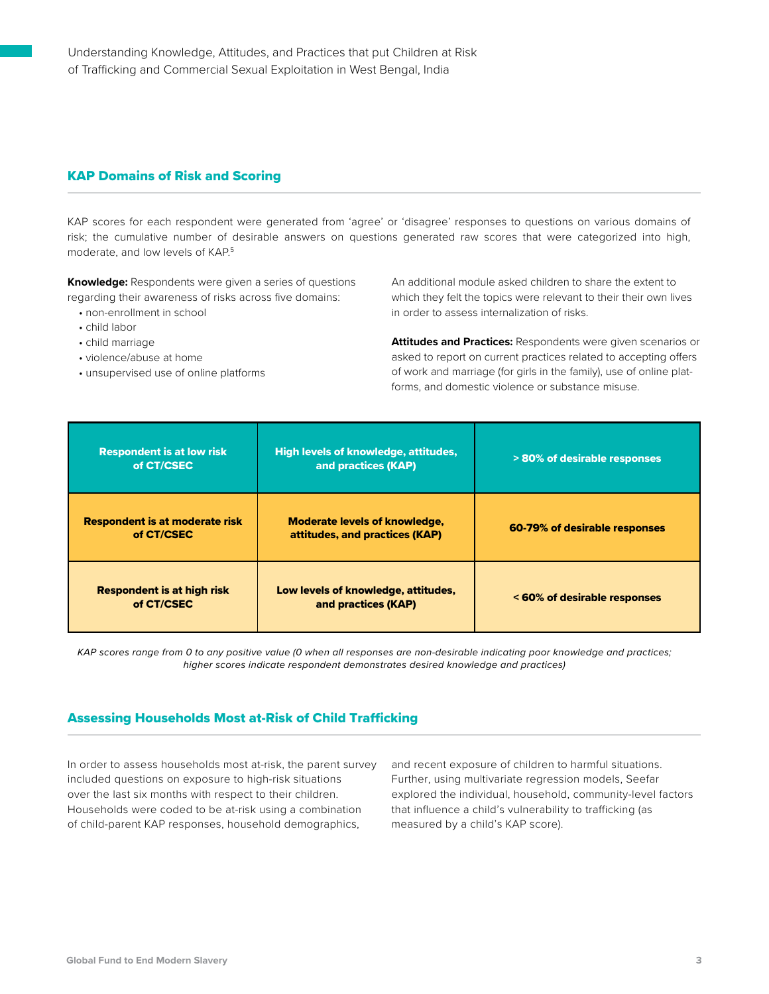### KAP Domains of Risk and Scoring

KAP scores for each respondent were generated from 'agree' or 'disagree' responses to questions on various domains of risk; the cumulative number of desirable answers on questions generated raw scores that were categorized into high, moderate, and low levels of KAP. 5

**Knowledge:** Respondents were given a series of questions regarding their awareness of risks across five domains:

- non-enrollment in school
- child labor
- child marriage
- violence/abuse at home
- unsupervised use of online platforms

An additional module asked children to share the extent to which they felt the topics were relevant to their their own lives in order to assess internalization of risks.

**Attitudes and Practices:** Respondents were given scenarios or asked to report on current practices related to accepting offers of work and marriage (for girls in the family), use of online platforms, and domestic violence or substance misuse.

| <b>Respondent is at low risk</b><br>of CT/CSEC      | <b>High levels of knowledge, attitudes,</b><br>and practices (KAP)     | > 80% of desirable responses  |
|-----------------------------------------------------|------------------------------------------------------------------------|-------------------------------|
| <b>Respondent is at moderate risk</b><br>of CT/CSEC | <b>Moderate levels of knowledge,</b><br>attitudes, and practices (KAP) | 60-79% of desirable responses |
| <b>Respondent is at high risk</b><br>of CT/CSEC     | Low levels of knowledge, attitudes,<br>and practices (KAP)             | < 60% of desirable responses  |

*KAP scores range from 0 to any positive value (0 when all responses are non-desirable indicating poor knowledge and practices; higher scores indicate respondent demonstrates desired knowledge and practices)*

## Assessing Households Most at-Risk of Child Trafficking

In order to assess households most at-risk, the parent survey included questions on exposure to high-risk situations over the last six months with respect to their children. Households were coded to be at-risk using a combination of child-parent KAP responses, household demographics,

and recent exposure of children to harmful situations. Further, using multivariate regression models, Seefar explored the individual, household, community-level factors that influence a child's vulnerability to trafficking (as measured by a child's KAP score).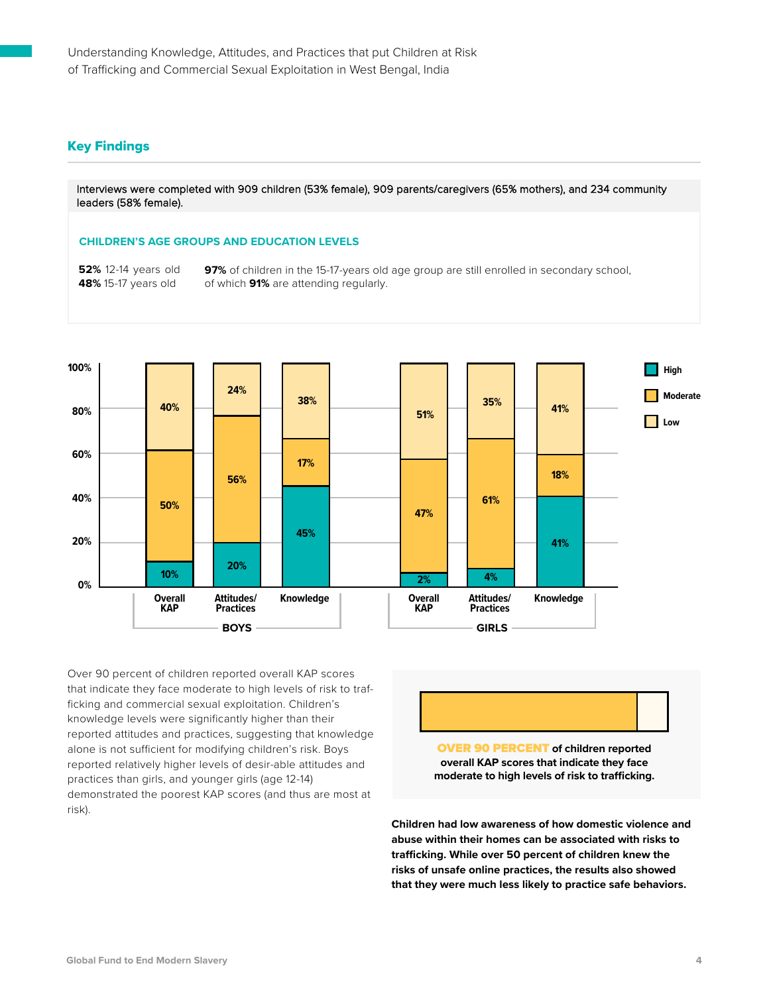### Key Findings

Interviews were completed with 909 children (53% female), 909 parents/caregivers (65% mothers), and 234 community leaders (58% female).

#### **CHILDREN'S AGE GROUPS AND EDUCATION LEVELS**

**52%** 12-14 years old **48%** 15-17 years old

**97%** of children in the 15-17-years old age group are still enrolled in secondary school, of which **91%** are attending regularly.



Over 90 percent of children reported overall KAP scores that indicate they face moderate to high levels of risk to trafficking and commercial sexual exploitation. Children's knowledge levels were significantly higher than their reported attitudes and practices, suggesting that knowledge alone is not sufficient for modifying children's risk. Boys reported relatively higher levels of desir-able attitudes and practices than girls, and younger girls (age 12-14) demonstrated the poorest KAP scores (and thus are most at risk).

OVER 90 PERCENT **of children reported overall KAP scores that indicate they face moderate to high levels of risk to trafficking.** 

**Children had low awareness of how domestic violence and abuse within their homes can be associated with risks to trafficking. While over 50 percent of children knew the risks of unsafe online practices, the results also showed that they were much less likely to practice safe behaviors.**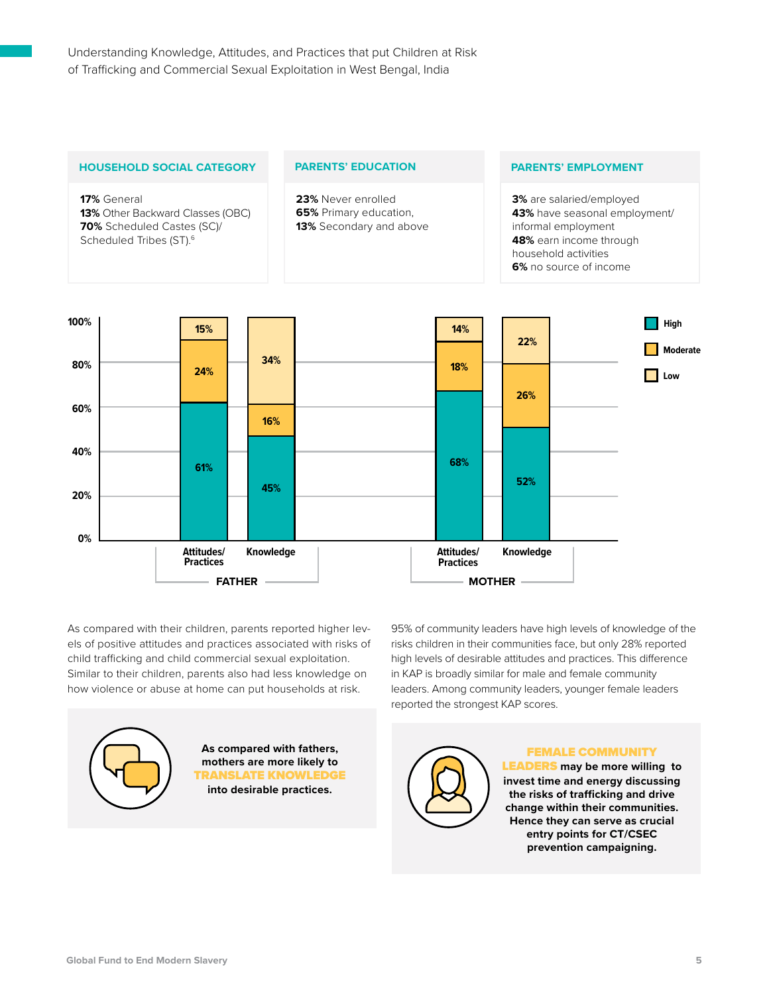

As compared with their children, parents reported higher levels of positive attitudes and practices associated with risks of child trafficking and child commercial sexual exploitation. Similar to their children, parents also had less knowledge on how violence or abuse at home can put households at risk.

95% of community leaders have high levels of knowledge of the risks children in their communities face, but only 28% reported high levels of desirable attitudes and practices. This difference in KAP is broadly similar for male and female community leaders. Among community leaders, younger female leaders reported the strongest KAP scores.



**As compared with fathers, mothers are more likely to** TRANSLATE KNOWLEDGE **into desirable practices.**

FEMALE COMMUNITY LEADERS **may be more willing to invest time and energy discussing the risks of trafficking and drive change within their communities. Hence they can serve as crucial entry points for CT/CSEC prevention campaigning.**